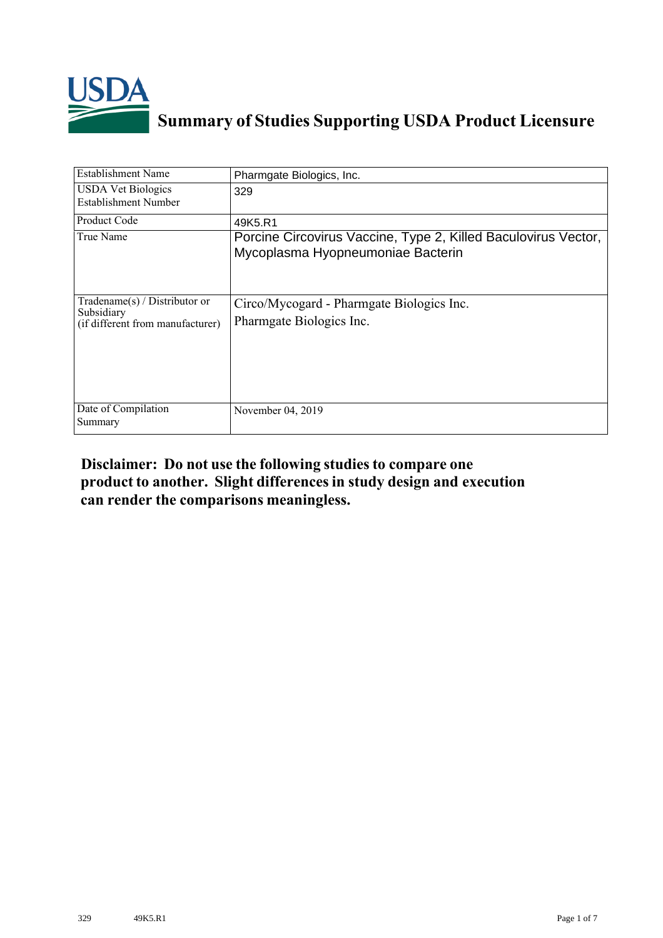

# **Summary of Studies Supporting USDA Product Licensure**

| <b>Establishment Name</b>                                                          | Pharmgate Biologics, Inc.                                                                           |
|------------------------------------------------------------------------------------|-----------------------------------------------------------------------------------------------------|
| <b>USDA Vet Biologics</b><br>Establishment Number                                  | 329                                                                                                 |
| Product Code                                                                       | 49K5.R1                                                                                             |
| True Name                                                                          | Porcine Circovirus Vaccine, Type 2, Killed Baculovirus Vector,<br>Mycoplasma Hyopneumoniae Bacterin |
| Tradename $(s)$ / Distributor or<br>Subsidiary<br>(if different from manufacturer) | Circo/Mycogard - Pharmgate Biologics Inc.<br>Pharmgate Biologics Inc.                               |
| Date of Compilation<br>Summary                                                     | November 04, 2019                                                                                   |

### **Disclaimer: Do not use the following studiesto compare one product to another. Slight differencesin study design and execution can render the comparisons meaningless.**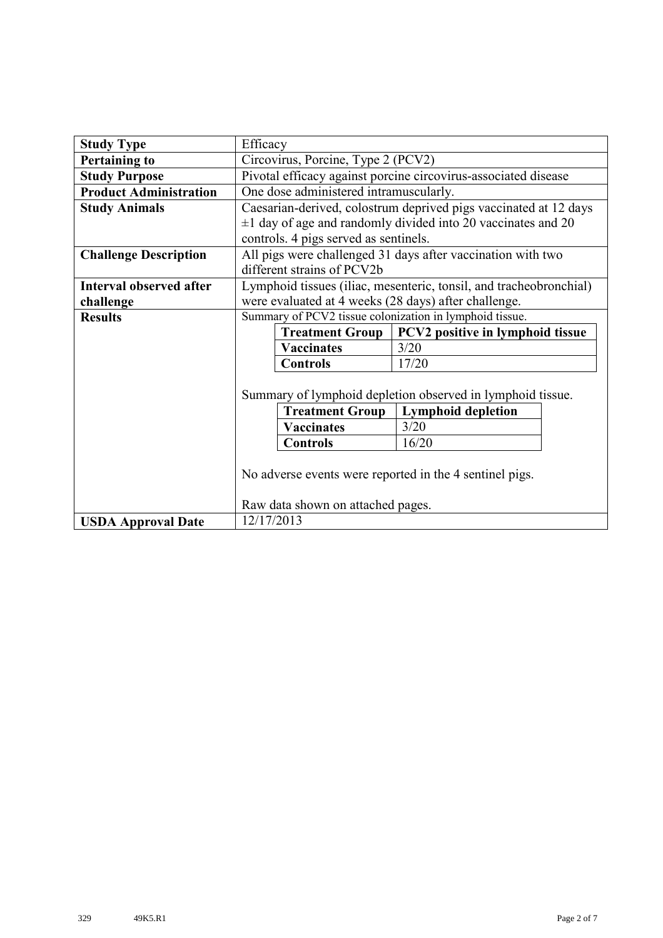| <b>Study Type</b>              |                                                                | Efficacy                              |                                                                    |  |  |  |  |  |
|--------------------------------|----------------------------------------------------------------|---------------------------------------|--------------------------------------------------------------------|--|--|--|--|--|
| <b>Pertaining to</b>           | Circovirus, Porcine, Type 2 (PCV2)                             |                                       |                                                                    |  |  |  |  |  |
| <b>Study Purpose</b>           | Pivotal efficacy against porcine circovirus-associated disease |                                       |                                                                    |  |  |  |  |  |
| <b>Product Administration</b>  | One dose administered intramuscularly.                         |                                       |                                                                    |  |  |  |  |  |
| <b>Study Animals</b>           |                                                                |                                       | Caesarian-derived, colostrum deprived pigs vaccinated at 12 days   |  |  |  |  |  |
|                                |                                                                |                                       | $\pm 1$ day of age and randomly divided into 20 vaccinates and 20  |  |  |  |  |  |
|                                |                                                                | controls. 4 pigs served as sentinels. |                                                                    |  |  |  |  |  |
| <b>Challenge Description</b>   |                                                                |                                       | All pigs were challenged 31 days after vaccination with two        |  |  |  |  |  |
|                                |                                                                | different strains of PCV2b            |                                                                    |  |  |  |  |  |
| <b>Interval observed after</b> |                                                                |                                       | Lymphoid tissues (iliac, mesenteric, tonsil, and tracheobronchial) |  |  |  |  |  |
| challenge                      | were evaluated at 4 weeks (28 days) after challenge.           |                                       |                                                                    |  |  |  |  |  |
| <b>Results</b>                 | Summary of PCV2 tissue colonization in lymphoid tissue.        |                                       |                                                                    |  |  |  |  |  |
|                                |                                                                | <b>Treatment Group</b>                | PCV2 positive in lymphoid tissue                                   |  |  |  |  |  |
|                                |                                                                | <b>Vaccinates</b>                     | 3/20                                                               |  |  |  |  |  |
|                                |                                                                | <b>Controls</b>                       | 17/20                                                              |  |  |  |  |  |
|                                |                                                                |                                       |                                                                    |  |  |  |  |  |
|                                |                                                                |                                       | Summary of lymphoid depletion observed in lymphoid tissue.         |  |  |  |  |  |
|                                |                                                                | <b>Treatment Group</b>                | <b>Lymphoid depletion</b>                                          |  |  |  |  |  |
|                                |                                                                | <b>Vaccinates</b>                     | 3/20                                                               |  |  |  |  |  |
|                                | <b>Controls</b><br>16/20                                       |                                       |                                                                    |  |  |  |  |  |
|                                | No adverse events were reported in the 4 sentinel pigs.        |                                       |                                                                    |  |  |  |  |  |
|                                |                                                                | Raw data shown on attached pages.     |                                                                    |  |  |  |  |  |
| <b>USDA Approval Date</b>      | 12/17/2013                                                     |                                       |                                                                    |  |  |  |  |  |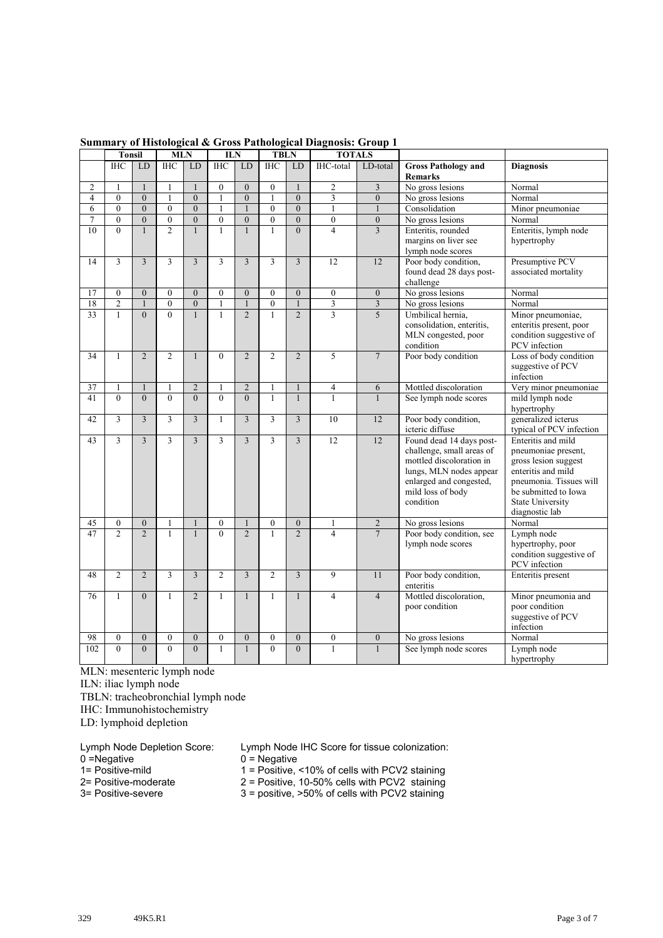|                | <b>Tonsil</b>    |                  | <b>MLN</b>       |                         | <b>ILN</b>                         |                  | <b>TBLN</b>      |                                  | <b>TOTALS</b>           |                  |                                              |                                              |
|----------------|------------------|------------------|------------------|-------------------------|------------------------------------|------------------|------------------|----------------------------------|-------------------------|------------------|----------------------------------------------|----------------------------------------------|
|                | <b>IHC</b>       | LD               | <b>IHC</b>       | <b>LD</b>               | <b>IHC</b>                         | LD               | <b>IHC</b>       | LD                               | IHC-total               | LD-total         | <b>Gross Pathology and</b><br><b>Remarks</b> | <b>Diagnosis</b>                             |
| $\overline{c}$ | $\mathbf{1}$     | $\mathbf{1}$     | $\mathbf{1}$     | $\mathbf{1}$            | $\theta$                           | $\Omega$         | $\theta$         | $\mathbf{1}$                     | $\overline{2}$          | 3                | No gross lesions                             | Normal                                       |
| $\overline{4}$ | $\theta$         | $\Omega$         | $\mathbf{1}$     | $\theta$                | $\mathbf{1}$                       | $\theta$         | $\mathbf{1}$     | $\overline{0}$                   | 3                       | $\mathbf{0}$     | No gross lesions                             | Normal                                       |
| 6              | $\theta$         | $\theta$         | $\theta$         | $\theta$                | $\mathbf{1}$                       |                  | $\theta$         | $\overline{0}$                   | $\mathbf{1}$            | $\mathbf{1}$     | Consolidation                                | Minor pneumoniae                             |
| $\overline{7}$ | $\theta$         | $\overline{0}$   | $\mathbf{0}$     | $\overline{0}$          | $\overline{0}$                     | $\overline{0}$   | $\theta$         | $\overline{0}$                   | $\overline{0}$          | $\boldsymbol{0}$ | No gross lesions                             | Normal                                       |
| 10             | $\theta$         | $\mathbf{1}$     | $\overline{2}$   | $\mathbf{1}$            | $\mathbf{1}$                       | $\mathbf{1}$     | $\mathbf{1}$     | $\overline{0}$                   | $\overline{4}$          | $\overline{3}$   | Enteritis, rounded                           | Enteritis, lymph node                        |
|                |                  |                  |                  |                         |                                    |                  |                  |                                  |                         |                  | margins on liver see                         | hypertrophy                                  |
|                |                  |                  |                  |                         |                                    |                  |                  |                                  |                         |                  | lymph node scores                            |                                              |
| 14             | 3                | $\overline{3}$   | 3                | $\overline{3}$          | $\overline{3}$                     | 3                | 3                | $\overline{3}$                   | 12                      | 12               | Poor body condition,                         | Presumptive PCV                              |
|                |                  |                  |                  |                         |                                    |                  |                  |                                  |                         |                  | found dead 28 days post-                     | associated mortality                         |
|                |                  |                  |                  |                         |                                    |                  |                  |                                  |                         |                  | challenge                                    |                                              |
| 17             | $\overline{0}$   | $\mathbf{0}$     | $\overline{0}$   | $\overline{0}$          | $\boldsymbol{0}$                   | $\mathbf{0}$     | $\theta$         | $\boldsymbol{0}$                 | $\boldsymbol{0}$        | $\boldsymbol{0}$ | No gross lesions                             | Normal                                       |
| 18             | $\overline{c}$   | $\mathbf{1}$     | $\overline{0}$   | $\mathbf{0}$            | $\mathbf{1}$                       | $\mathbf{1}$     | $\mathbf{0}$     | $\mathbf{1}$                     | $\overline{\mathbf{3}}$ | $\sqrt{3}$       | No gross lesions                             | Normal                                       |
| 33             | $\mathbf{1}$     | $\Omega$         | $\theta$         | $\mathbf{1}$            | $\mathbf{1}$                       | $\overline{2}$   | $\mathbf{1}$     | $\overline{2}$                   | 3                       | 5                | Umbilical hernia.                            | Minor pneumoniae,                            |
|                |                  |                  |                  |                         |                                    |                  |                  |                                  |                         |                  | consolidation, enteritis.                    | enteritis present, poor                      |
|                |                  |                  |                  |                         |                                    |                  |                  |                                  |                         |                  | MLN congested, poor<br>condition             | condition suggestive of                      |
| 34             | 1                | $\overline{2}$   | $\overline{2}$   | $\mathbf{1}$            | $\mathbf{0}$                       | $\overline{2}$   | $\overline{2}$   | $\overline{2}$                   | 5                       | $\tau$           | Poor body condition                          | PCV infection<br>Loss of body condition      |
|                |                  |                  |                  |                         |                                    |                  |                  |                                  |                         |                  |                                              | suggestive of PCV                            |
|                |                  |                  |                  |                         |                                    |                  |                  |                                  |                         |                  |                                              | infection                                    |
| 37             | 1                | $\mathbf{1}$     | $\mathbf{1}$     | $\overline{2}$          | $\mathbf{1}$                       | $\overline{2}$   | $\mathbf{1}$     | $\mathbf{1}$                     | $\overline{4}$          | 6                | Mottled discoloration                        | Very minor pneumoniae                        |
| 41             | $\theta$         | $\theta$         | $\theta$         | $\theta$                | $\theta$                           | $\Omega$         | $\mathbf{1}$     | $\mathbf{1}$                     | $\mathbf{1}$            | $\mathbf{1}$     | See lymph node scores                        | mild lymph node                              |
|                |                  |                  |                  |                         |                                    |                  |                  |                                  |                         |                  |                                              | hypertrophy                                  |
| 42             | $\overline{3}$   | $\overline{3}$   | $\overline{3}$   | $\overline{3}$          | $\mathbf{1}$                       | 3                | $\overline{3}$   | $\overline{3}$                   | 10                      | 12               | Poor body condition,                         | generalized icterus                          |
|                |                  |                  |                  |                         |                                    |                  |                  |                                  |                         |                  | icteric diffuse                              | typical of PCV infection                     |
| 43             | 3                | 3                | 3                | 3                       | $\overline{3}$                     | 3                | 3                | $\overline{3}$                   | 12                      | 12               | Found dead 14 days post-                     | Enteritis and mild                           |
|                |                  |                  |                  |                         |                                    |                  |                  |                                  |                         |                  | challenge, small areas of                    | pneumoniae present,                          |
|                |                  |                  |                  |                         |                                    |                  |                  |                                  |                         |                  | mottled discoloration in                     | gross lesion suggest                         |
|                |                  |                  |                  |                         |                                    |                  |                  |                                  |                         |                  | lungs, MLN nodes appear                      | enteritis and mild                           |
|                |                  |                  |                  |                         |                                    |                  |                  |                                  |                         |                  | enlarged and congested,                      | pneumonia. Tissues will                      |
|                |                  |                  |                  |                         |                                    |                  |                  |                                  |                         |                  | mild loss of body                            | be submitted to Iowa                         |
|                |                  |                  |                  |                         |                                    |                  |                  |                                  |                         |                  | condition                                    | <b>State University</b>                      |
|                |                  |                  |                  |                         |                                    |                  |                  |                                  |                         |                  |                                              | diagnostic lab                               |
| 45             | $\mathbf{0}$     | $\mathbf{0}$     |                  |                         | $\boldsymbol{0}$<br>$\overline{0}$ | $\mathbf{1}$     | $\mathbf{0}$     | $\overline{0}$<br>$\overline{2}$ | 1                       | $\overline{c}$   | No gross lesions                             | Normal                                       |
| 47             | $\overline{2}$   | $\mathfrak{D}$   | 1                |                         |                                    | $\mathfrak{D}$   | $\mathbf{1}$     |                                  | $\overline{4}$          | $7\phantom{.0}$  | Poor body condition, see                     | Lymph node                                   |
|                |                  |                  |                  |                         |                                    |                  |                  |                                  |                         |                  | lymph node scores                            | hypertrophy, poor<br>condition suggestive of |
|                |                  |                  |                  |                         |                                    |                  |                  |                                  |                         |                  |                                              | PCV infection                                |
| 48             | $\overline{2}$   | $\overline{2}$   | 3                | $\overline{\mathbf{3}}$ | $\overline{c}$                     | $\overline{3}$   | $\overline{2}$   | 3                                | 9                       | 11               | Poor body condition,                         | Enteritis present                            |
|                |                  |                  |                  |                         |                                    |                  |                  |                                  |                         |                  | enteritis                                    |                                              |
| 76             | $\mathbf{1}$     | $\Omega$         | $\mathbf{1}$     | $\overline{2}$          | $\mathbf{1}$                       | $\mathbf{1}$     | $\mathbf{1}$     | $\mathbf{1}$                     | $\overline{4}$          | $\overline{4}$   | Mottled discoloration,                       | Minor pneumonia and                          |
|                |                  |                  |                  |                         |                                    |                  |                  |                                  |                         |                  | poor condition                               | poor condition                               |
|                |                  |                  |                  |                         |                                    |                  |                  |                                  |                         |                  |                                              | suggestive of PCV                            |
|                |                  |                  |                  |                         |                                    |                  |                  |                                  |                         |                  |                                              | infection                                    |
| 98             | $\boldsymbol{0}$ | $\boldsymbol{0}$ | $\boldsymbol{0}$ | $\boldsymbol{0}$        | $\boldsymbol{0}$                   | $\boldsymbol{0}$ | $\boldsymbol{0}$ | $\overline{0}$                   | $\mathbf{0}$            | $\boldsymbol{0}$ | No gross lesions                             | Normal                                       |
| 102            | $\overline{0}$   | $\overline{0}$   | $\overline{0}$   | $\overline{0}$          | $\mathbf{1}$                       |                  | $\overline{0}$   | $\overline{0}$                   | 1                       | $\mathbf{1}$     | See lymph node scores                        | Lymph node                                   |
|                |                  |                  |                  |                         |                                    |                  |                  |                                  |                         |                  |                                              | hypertrophy                                  |

#### **Summary of Histological & Gross Pathological Diagnosis: Group 1**

MLN: mesenteric lymph node

ILN: iliac lymph node

TBLN: tracheobronchial lymph node

IHC: Immunohistochemistry

LD: lymphoid depletion

0 = Negative 0 = Negative 0 = Negative 1 = Positive, 0 = Negative 0 = Negative 0 = Negative 0 = Negative 0 = Negative 0 = Negative 0 = Negative 0 = Negative 0 = Negative 0 = Negative 0 = Negative 0 = Negative 0 = Negative

- 
- 

Lymph Node Depletion Score: Lymph Node IHC Score for tissue colonization:<br>0 = Negative 0 = Negative

1= Positive-mild<br>
2 = Positive-moderate<br>
2 = Positive, 10-50% cells with PCV2 staining<br>
2 = Positive, 10-50% cells with PCV2 staining

2= Positive-moderate 2 = Positive, 10-50% cells with PCV2 staining

3= Positive-severe 3 = positive, >50% of cells with PCV2 staining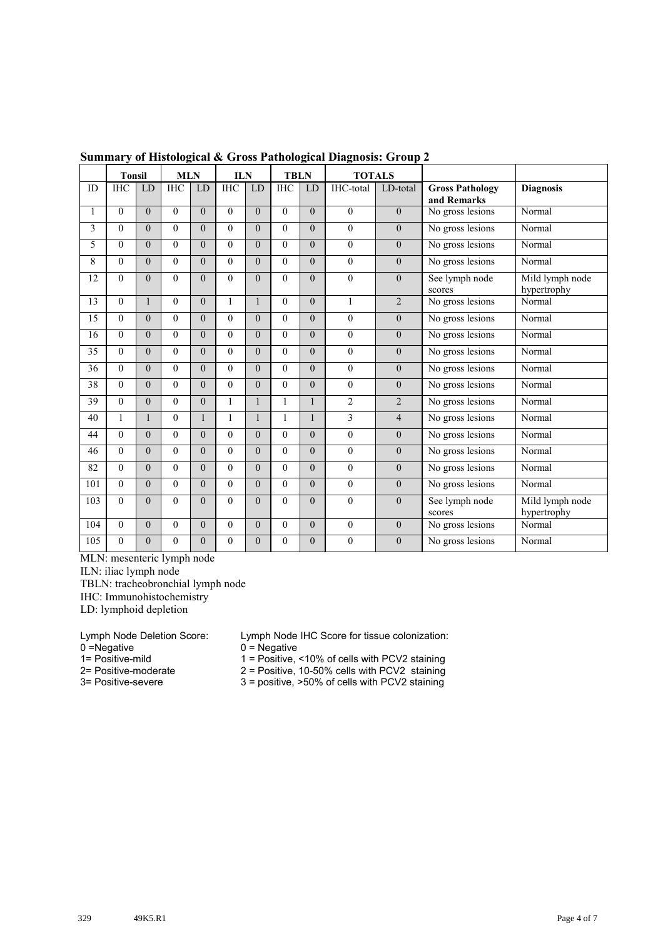|     | <b>Tonsil</b>  |                | <b>MLN</b> |                | <b>ILN</b>   |              | <b>TBLN</b>    |                | <b>TOTALS</b>    |                  |                                       |                                |
|-----|----------------|----------------|------------|----------------|--------------|--------------|----------------|----------------|------------------|------------------|---------------------------------------|--------------------------------|
| ID  | <b>IHC</b>     | LD             | <b>IHC</b> | <b>LD</b>      | <b>IHC</b>   | LD           | <b>IHC</b>     | <b>LD</b>      | IHC-total        | LD-total         | <b>Gross Pathology</b><br>and Remarks | <b>Diagnosis</b>               |
| 1   | $\Omega$       | $\theta$       | $\theta$   | $\theta$       | $\theta$     | $\theta$     | $\theta$       | $\overline{0}$ | $\theta$         | $\theta$         | No gross lesions                      | Normal                         |
| 3   | $\theta$       | $\theta$       | $\theta$   | $\theta$       | $\theta$     | $\theta$     | $\overline{0}$ | $\overline{0}$ | $\mathbf{0}$     | $\boldsymbol{0}$ | No gross lesions                      | Normal                         |
| 5   | $\Omega$       | $\overline{0}$ | $\Omega$   | $\overline{0}$ | $\Omega$     | $\theta$     | $\theta$       | $\overline{0}$ | $\boldsymbol{0}$ | $\overline{0}$   | No gross lesions                      | Normal                         |
| 8   | $\theta$       | $\theta$       | $\theta$   | $\theta$       | $\theta$     | $\theta$     | $\theta$       | $\overline{0}$ | $\theta$         | $\theta$         | No gross lesions                      | Normal                         |
| 12  | $\theta$       | $\theta$       | $\theta$   | $\theta$       | $\theta$     | $\theta$     | $\theta$       | $\overline{0}$ | $\mathbf{0}$     | $\boldsymbol{0}$ | See lymph node<br>scores              | Mild lymph node<br>hypertrophy |
| 13  | $\theta$       | 1              | $\theta$   | $\theta$       | $\mathbf{1}$ | 1            | $\theta$       | $\theta$       | $\mathbf{1}$     | $\overline{2}$   | No gross lesions                      | Normal                         |
| 15  | $\Omega$       | $\theta$       | $\theta$   | $\theta$       | $\theta$     | $\theta$     | $\theta$       | $\overline{0}$ | $\theta$         | $\theta$         | No gross lesions                      | Normal                         |
| 16  | $\Omega$       | $\theta$       | $\Omega$   | $\theta$       | $\Omega$     | $\Omega$     | $\Omega$       | $\overline{0}$ | $\theta$         | $\boldsymbol{0}$ | No gross lesions                      | Normal                         |
| 35  | $\theta$       | $\theta$       | $\Omega$   | $\theta$       | $\theta$     | $\theta$     | $\theta$       | $\overline{0}$ | $\overline{0}$   | $\boldsymbol{0}$ | No gross lesions                      | Normal                         |
| 36  | $\Omega$       | $\theta$       | $\Omega$   | $\theta$       | $\theta$     | $\theta$     | $\Omega$       | $\overline{0}$ | $\mathbf{0}$     | $\overline{0}$   | No gross lesions                      | Normal                         |
| 38  | $\Omega$       | $\theta$       | $\Omega$   | $\theta$       | $\Omega$     | $\theta$     | $\Omega$       | $\overline{0}$ | $\theta$         | $\boldsymbol{0}$ | No gross lesions                      | Normal                         |
| 39  | $\theta$       | $\overline{0}$ | $\theta$   | $\theta$       | $\mathbf{1}$ | $\mathbf{1}$ | $\mathbf{1}$   | 1              | $\overline{2}$   | $\overline{2}$   | No gross lesions                      | Normal                         |
| 40  | $\mathbf{1}$   | 1              | $\Omega$   | $\mathbf{1}$   | $\mathbf{1}$ | 1            | $\mathbf{1}$   | 1              | 3                | $\overline{4}$   | No gross lesions                      | Normal                         |
| 44  | $\theta$       | $\theta$       | $\theta$   | $\theta$       | $\theta$     | $\theta$     | $\theta$       | $\overline{0}$ | $\boldsymbol{0}$ | $\boldsymbol{0}$ | No gross lesions                      | Normal                         |
| 46  | $\Omega$       | $\theta$       | $\Omega$   | $\theta$       | $\theta$     | $\theta$     | $\Omega$       | $\overline{0}$ | $\boldsymbol{0}$ | $\mathbf{0}$     | No gross lesions                      | Normal                         |
| 82  | $\Omega$       | $\theta$       | $\theta$   | $\theta$       | $\Omega$     | $\theta$     | $\theta$       | $\overline{0}$ | $\theta$         | $\mathbf{0}$     | No gross lesions                      | Normal                         |
| 101 | $\overline{0}$ | $\theta$       | $\theta$   | $\theta$       | $\theta$     | $\theta$     | $\theta$       | $\overline{0}$ | $\boldsymbol{0}$ | $\boldsymbol{0}$ | No gross lesions                      | Normal                         |
| 103 | $\Omega$       | $\theta$       | $\Omega$   | $\theta$       | $\theta$     | $\theta$     | $\theta$       | $\overline{0}$ | $\boldsymbol{0}$ | $\boldsymbol{0}$ | See lymph node<br>scores              | Mild lymph node<br>hypertrophy |
| 104 | $\Omega$       | $\theta$       | $\theta$   | $\theta$       | $\theta$     | $\theta$     | $\theta$       | $\overline{0}$ | $\boldsymbol{0}$ | $\boldsymbol{0}$ | No gross lesions                      | Normal                         |
| 105 | $\theta$       | $\theta$       | $\Omega$   | $\overline{0}$ | $\theta$     | $\theta$     | $\theta$       | $\overline{0}$ | $\overline{0}$   | $\overline{0}$   | No gross lesions                      | Normal                         |

#### **Summary of Histological & Gross Pathological Diagnosis: Group 2**

MLN: mesenteric lymph node

ILN: iliac lymph node

TBLN: tracheobronchial lymph node

IHC: Immunohistochemistry

LD: lymphoid depletion

 $0 = Negative$ <br>  $1 = Positive$ -mild<br>  $1 = Positive$ ,  $1 = Positive$ 

Lymph Node Deletion Score: Lymph Node IHC Score for tissue colonization:<br>0 = Negative 0 = Negative

1= Positive-mild<br>
2 = Positive, <10% of cells with PCV2 staining<br>
2 = Positive, 10-50% cells with PCV2 staining

2= Positive-moderate  $2 =$  Positive, 10-50% cells with PCV2 staining<br>3= Positive-severe  $3 =$  positive,  $>50%$  of cells with PCV2 staining  $3$  = positive,  $>50\%$  of cells with PCV2 staining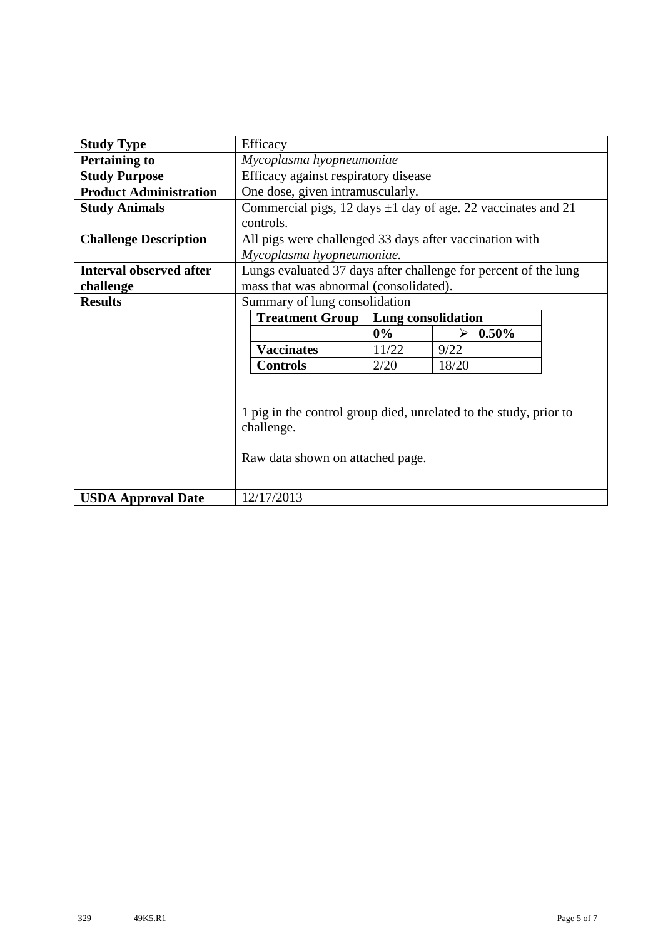| <b>Study Type</b>              | Efficacy                                                                                                            |                                  |               |  |  |  |  |  |  |  |
|--------------------------------|---------------------------------------------------------------------------------------------------------------------|----------------------------------|---------------|--|--|--|--|--|--|--|
| <b>Pertaining to</b>           | Mycoplasma hyopneumoniae                                                                                            |                                  |               |  |  |  |  |  |  |  |
| <b>Study Purpose</b>           | Efficacy against respiratory disease                                                                                |                                  |               |  |  |  |  |  |  |  |
| <b>Product Administration</b>  |                                                                                                                     | One dose, given intramuscularly. |               |  |  |  |  |  |  |  |
| <b>Study Animals</b>           | Commercial pigs, 12 days $\pm 1$ day of age. 22 vaccinates and 21                                                   |                                  |               |  |  |  |  |  |  |  |
|                                | controls.                                                                                                           |                                  |               |  |  |  |  |  |  |  |
| <b>Challenge Description</b>   | All pigs were challenged 33 days after vaccination with                                                             |                                  |               |  |  |  |  |  |  |  |
|                                | Mycoplasma hyopneumoniae.                                                                                           |                                  |               |  |  |  |  |  |  |  |
| <b>Interval observed after</b> | Lungs evaluated 37 days after challenge for percent of the lung                                                     |                                  |               |  |  |  |  |  |  |  |
| challenge                      | mass that was abnormal (consolidated).                                                                              |                                  |               |  |  |  |  |  |  |  |
| <b>Results</b>                 | Summary of lung consolidation                                                                                       |                                  |               |  |  |  |  |  |  |  |
|                                | <b>Treatment Group</b>                                                                                              | Lung consolidation               |               |  |  |  |  |  |  |  |
|                                |                                                                                                                     | $0\%$                            | $0.50\%$<br>↘ |  |  |  |  |  |  |  |
|                                | <b>Vaccinates</b>                                                                                                   | 11/22                            | 9/22          |  |  |  |  |  |  |  |
|                                | <b>Controls</b>                                                                                                     | 2/20                             | 18/20         |  |  |  |  |  |  |  |
|                                | 1 pig in the control group died, unrelated to the study, prior to<br>challenge.<br>Raw data shown on attached page. |                                  |               |  |  |  |  |  |  |  |
| <b>USDA Approval Date</b>      | 12/17/2013                                                                                                          |                                  |               |  |  |  |  |  |  |  |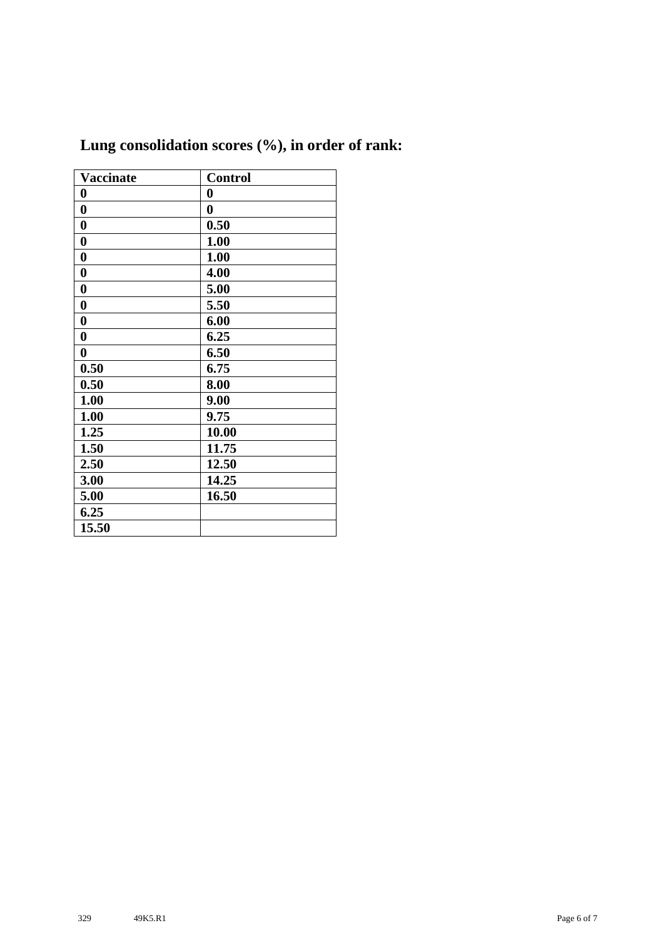| <b>Vaccinate</b> | <b>Control</b>   |
|------------------|------------------|
| $\bf{0}$         | $\boldsymbol{0}$ |
| $\boldsymbol{0}$ | $\bf{0}$         |
| $\bf{0}$         | 0.50             |
| $\bf{0}$         | 1.00             |
| $\boldsymbol{0}$ | 1.00             |
| $\boldsymbol{0}$ | 4.00             |
| $\boldsymbol{0}$ | 5.00             |
| $\bf{0}$         | 5.50             |
| $\boldsymbol{0}$ | 6.00             |
| $\boldsymbol{0}$ | 6.25             |
| $\boldsymbol{0}$ | 6.50             |
| 0.50             | 6.75             |
| 0.50             | 8.00             |
| 1.00             | 9.00             |
| 1.00             | 9.75             |
| 1.25             | 10.00            |
| 1.50             | 11.75            |
| 2.50             | 12.50            |
| 3.00             | 14.25            |
| 5.00             | 16.50            |
| 6.25             |                  |
| 15.50            |                  |

## **Lung consolidation scores (%), in order of rank:**